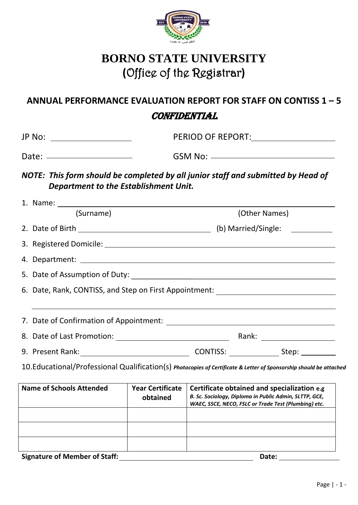

## **BORNO STATE UNIVERSITY (**Office of the Registrar**)**

## **ANNUAL PERFORMANCE EVALUATION REPORT FOR STAFF ON CONTISS 1 – 5**

## **CONFIDENTIAL**

| JP No: __________________                                                                                           |                                                                                                                                                                                                                                                                                        |                                                                                  |  |  |  |  |
|---------------------------------------------------------------------------------------------------------------------|----------------------------------------------------------------------------------------------------------------------------------------------------------------------------------------------------------------------------------------------------------------------------------------|----------------------------------------------------------------------------------|--|--|--|--|
|                                                                                                                     | Date: $\frac{1}{2}$ Date: $\frac{1}{2}$ Date: $\frac{1}{2}$ Date: $\frac{1}{2}$ Date: $\frac{1}{2}$ Date: $\frac{1}{2}$ Date: $\frac{1}{2}$ Date: $\frac{1}{2}$ Date: $\frac{1}{2}$ Date: $\frac{1}{2}$ Date: $\frac{1}{2}$ Date: $\frac{1}{2}$ Date: $\frac{1}{2}$ Date: $\frac{1}{2$ |                                                                                  |  |  |  |  |
|                                                                                                                     | Department to the Establishment Unit.                                                                                                                                                                                                                                                  | NOTE: This form should be completed by all junior staff and submitted by Head of |  |  |  |  |
|                                                                                                                     |                                                                                                                                                                                                                                                                                        |                                                                                  |  |  |  |  |
|                                                                                                                     | (Surname)                                                                                                                                                                                                                                                                              | (Other Names)                                                                    |  |  |  |  |
|                                                                                                                     |                                                                                                                                                                                                                                                                                        |                                                                                  |  |  |  |  |
|                                                                                                                     |                                                                                                                                                                                                                                                                                        |                                                                                  |  |  |  |  |
|                                                                                                                     |                                                                                                                                                                                                                                                                                        |                                                                                  |  |  |  |  |
|                                                                                                                     |                                                                                                                                                                                                                                                                                        |                                                                                  |  |  |  |  |
|                                                                                                                     | 6. Date, Rank, CONTISS, and Step on First Appointment: _________________________                                                                                                                                                                                                       |                                                                                  |  |  |  |  |
|                                                                                                                     |                                                                                                                                                                                                                                                                                        | ,我们也不会有什么。""我们的人,我们也不会有什么?""我们的人,我们也不会有什么?""我们的人,我们也不会有什么?""我们的人,我们也不会有什么?""我们的人 |  |  |  |  |
|                                                                                                                     |                                                                                                                                                                                                                                                                                        |                                                                                  |  |  |  |  |
|                                                                                                                     |                                                                                                                                                                                                                                                                                        |                                                                                  |  |  |  |  |
| 10. Educational/Professional Qualification(s) Photocopies of Certificate & Letter of Sponsorship should be attached |                                                                                                                                                                                                                                                                                        |                                                                                  |  |  |  |  |

| Name of Schools Attended      | <b>Year Certificate</b><br>obtained | Certificate obtained and specialization e.g<br>B. Sc. Sociology, Diploma in Public Admin, SLTTP, GCE,<br>WAEC, SSCE, NECO, FSLC or Trade Test (Plumbing) etc. |
|-------------------------------|-------------------------------------|---------------------------------------------------------------------------------------------------------------------------------------------------------------|
|                               |                                     |                                                                                                                                                               |
|                               |                                     |                                                                                                                                                               |
|                               |                                     |                                                                                                                                                               |
| Cianatura of Mamhar of Ctaff. |                                     | <b>Doto:</b>                                                                                                                                                  |

**Signature of Member of Staff: Date:**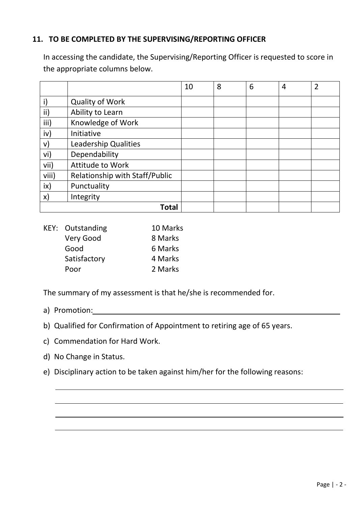## **11. TO BE COMPLETED BY THE SUPERVISING/REPORTING OFFICER**

In accessing the candidate, the Supervising/Reporting Officer is requested to score in the appropriate columns below.

|               |                                | 10 | 8 | 6 | 4 | $\overline{2}$ |
|---------------|--------------------------------|----|---|---|---|----------------|
| i)            | <b>Quality of Work</b>         |    |   |   |   |                |
| ii)           | Ability to Learn               |    |   |   |   |                |
| iii)          | Knowledge of Work              |    |   |   |   |                |
| iv)           | Initiative                     |    |   |   |   |                |
| V)            | <b>Leadership Qualities</b>    |    |   |   |   |                |
| vi)           | Dependability                  |    |   |   |   |                |
| vii)          | Attitude to Work               |    |   |   |   |                |
| viii)         | Relationship with Staff/Public |    |   |   |   |                |
| ix)           | Punctuality                    |    |   |   |   |                |
| $\mathsf{x})$ | Integrity                      |    |   |   |   |                |
| Total         |                                |    |   |   |   |                |

| <b>KEY: Outstanding</b> | 10 Marks |
|-------------------------|----------|
| Very Good               | 8 Marks  |
| Good                    | 6 Marks  |
| Satisfactory            | 4 Marks  |
| Poor                    | 2 Marks  |

The summary of my assessment is that he/she is recommended for.

- a) Promotion:
- b) Qualified for Confirmation of Appointment to retiring age of 65 years.
- c) Commendation for Hard Work.
- d) No Change in Status.
- e) Disciplinary action to be taken against him/her for the following reasons: